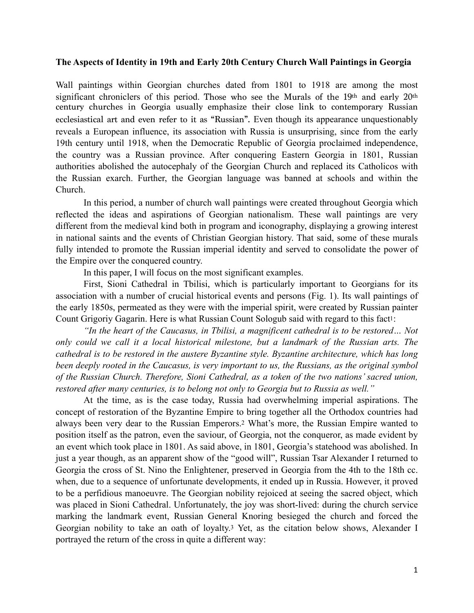## **The Aspects of Identity in 19th and Early 20th Century Church Wall Paintings in Georgia**

Wall paintings within Georgian churches dated from 1801 to 1918 are among the most significant chroniclers of this period. Those who see the Murals of the 19th and early 20th century churches in Georgia usually emphasize their close link to contemporary Russian ecclesiastical art and even refer to it as "Russian". Even though its appearance unquestionably reveals a European influence, its association with Russia is unsurprising, since from the early 19th century until 1918, when the Democratic Republic of Georgia proclaimed independence, the country was a Russian province. After conquering Eastern Georgia in 1801, Russian authorities abolished the autocephaly of the Georgian Church and replaced its Catholicos with the Russian exarch. Further, the Georgian language was banned at schools and within the Church.

In this period, a number of church wall paintings were created throughout Georgia which reflected the ideas and aspirations of Georgian nationalism. These wall paintings are very different from the medieval kind both in program and iconography, displaying a growing interest in national saints and the events of Christian Georgian history. That said, some of these murals fully intended to promote the Russian imperial identity and served to consolidate the power of the Empire over the conquered country.

<span id="page-0-0"></span>In this paper, I will focus on the most significant examples.

First, Sioni Cathedral in Tbilisi, which is particularly important to Georgians for its association with a number of crucial historical events and persons (Fig. 1). Its wall paintings of the early 1850s, permeated as they were with the imperial spirit, were created by Russian painter Count Grigoriy Gagarin. Here is what Russian Count Sologub said with regard to this fac[t1](#page-7-0):

*"In the heart of the Caucasus, in Tbilisi, a magnificent cathedral is to be restored… Not only could we call it a local historical milestone, but a landmark of the Russian arts. The cathedral is to be restored in the austere Byzantine style. Byzantine architecture, which has long been deeply rooted in the Caucasus, is very important to us, the Russians, as the original symbol of the Russian Church. Therefore, Sioni Cathedral, as a token of the two nations' sacred union, restored after many centuries, is to belong not only to Georgia but to Russia as well."* 

<span id="page-0-2"></span><span id="page-0-1"></span>At the time, as is the case today, Russia had overwhelming imperial aspirations. The concept of restoration of the Byzantine Empire to bring together all the Orthodox countries had always been very dear to the Russian Emperors[.2](#page-7-1) What's more, the Russian Empire wanted to position itself as the patron, even the saviour, of Georgia, not the conqueror, as made evident by an event which took place in 1801. As said above, in 1801, Georgia's statehood was abolished. In just a year though, as an apparent show of the "good will", Russian Tsar Alexander I returned to Georgia the cross of St. Nino the Enlightener, preserved in Georgia from the 4th to the 18th cc. when, due to a sequence of unfortunate developments, it ended up in Russia. However, it proved to be a perfidious manoeuvre. The Georgian nobility rejoiced at seeing the sacred object, which was placed in Sioni Cathedral. Unfortunately, the joy was short-lived: during the church service marking the landmark event, Russian General Knoring besieged the church and forced the Georgian nobility to take an oath of loyalty[.3](#page-7-2) Yet, as the citation below shows, Alexander I portrayed the return of the cross in quite a different way: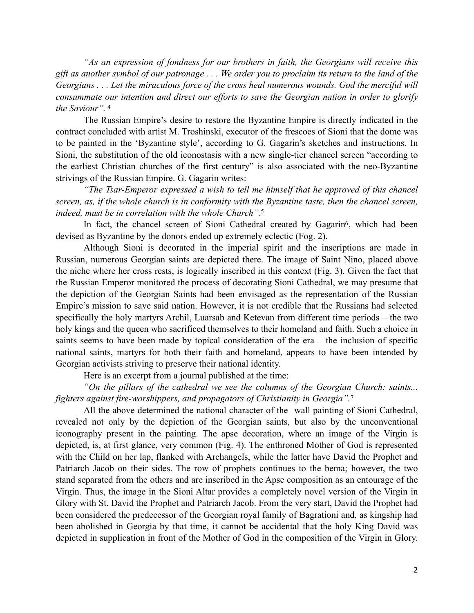*"As an expression of fondness for our brothers in faith, the Georgians will receive this gift as another symbol of our patronage . . . We order you to proclaim its return to the land of the Georgians . . . Let the miraculous force of the cross heal numerous wounds. God the merciful will consummate our intention and direct our efforts to save the Georgian nation in order to glorify the Saviour".* [4](#page-7-3)

<span id="page-1-0"></span>The Russian Empire's desire to restore the Byzantine Empire is directly indicated in the contract concluded with artist M. Troshinski, executor of the frescoes of Sioni that the dome was to be painted in the 'Byzantine style', according to G. Gagarin's sketches and instructions. In Sioni, the substitution of the old iconostasis with a new single-tier chancel screen "according to the earliest Christian churches of the first century" is also associated with the neo-Byzantine strivings of the Russian Empire. G. Gagarin writes:

*"The Tsar-Emperor expressed a wish to tell me himself that he approved of this chancel screen, as, if the whole church is in conformity with the Byzantine taste, then the chancel screen, indeed, must be in correlation with the whole Church".*[5](#page-7-4)

<span id="page-1-2"></span><span id="page-1-1"></span>In fact, the chancel screen of Sioni Cathedral created by Gagarin<sup>[6](#page-7-5)</sup>, which had been devised as Byzantine by the donors ended up extremely eclectic (Fog. 2).

Although Sioni is decorated in the imperial spirit and the inscriptions are made in Russian, numerous Georgian saints are depicted there. The image of Saint Nino, placed above the niche where her cross rests, is logically inscribed in this context (Fig. 3). Given the fact that the Russian Emperor monitored the process of decorating Sioni Cathedral, we may presume that the depiction of the Georgian Saints had been envisaged as the representation of the Russian Empire's mission to save said nation. However, it is not credible that the Russians had selected specifically the holy martyrs Archil, Luarsab and Ketevan from different time periods – the two holy kings and the queen who sacrificed themselves to their homeland and faith. Such a choice in saints seems to have been made by topical consideration of the era – the inclusion of specific national saints, martyrs for both their faith and homeland, appears to have been intended by Georgian activists striving to preserve their national identity.

<span id="page-1-3"></span>Here is an excerpt from a journal published at the time:

*"On the pillars of the cathedral we see the columns of the Georgian Church: saints... fighters against fire-worshippers, and propagators of Christianity in Georgia".*[7](#page-7-6)

All the above determined the national character of the wall painting of Sioni Cathedral, revealed not only by the depiction of the Georgian saints, but also by the unconventional iconography present in the painting. The apse decoration, where an image of the Virgin is depicted, is, at first glance, very common (Fig. 4). The enthroned Mother of God is represented with the Child on her lap, flanked with Archangels, while the latter have David the Prophet and Patriarch Jacob on their sides. The row of prophets continues to the bema; however, the two stand separated from the others and are inscribed in the Apse composition as an entourage of the Virgin. Thus, the image in the Sioni Altar provides a completely novel version of the Virgin in Glory with St. David the Prophet and Patriarch Jacob. From the very start, David the Prophet had been considered the predecessor of the Georgian royal family of Bagrationi and, as kingship had been abolished in Georgia by that time, it cannot be accidental that the holy King David was depicted in supplication in front of the Mother of God in the composition of the Virgin in Glory.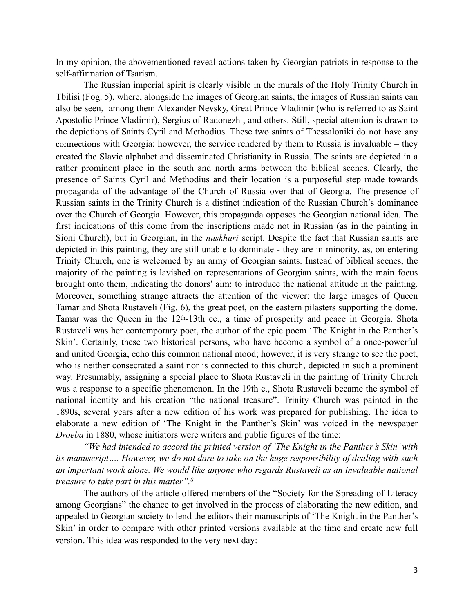In my opinion, the abovementioned reveal actions taken by Georgian patriots in response to the self-affirmation of Tsarism.

The Russian imperial spirit is clearly visible in the murals of the Holy Trinity Church in Tbilisi (Fog. 5), where, alongside the images of Georgian saints, the images of Russian saints can also be seen, among them Alexander Nevsky, Great Prince Vladimir (who is referred to as Saint Apostolic Prince Vladimir), Sergius of Radonezh , and others. Still, special attention is drawn to the depictions of Saints Cyril and Methodius. These two saints of Thessaloniki do not have any connections with Georgia; however, the service rendered by them to Russia is invaluable – they created the Slavic alphabet and disseminated Christianity in Russia. The saints are depicted in a rather prominent place in the south and north arms between the biblical scenes. Clearly, the presence of Saints Cyril and Methodius and their location is a purposeful step made towards propaganda of the advantage of the Church of Russia over that of Georgia. The presence of Russian saints in the Trinity Church is a distinct indication of the Russian Church's dominance over the Church of Georgia. However, this propaganda opposes the Georgian national idea. The first indications of this come from the inscriptions made not in Russian (as in the painting in Sioni Church), but in Georgian, in the *nuskhuri* script. Despite the fact that Russian saints are depicted in this painting, they are still unable to dominate - they are in minority, as, on entering Trinity Church, one is welcomed by an army of Georgian saints. Instead of biblical scenes, the majority of the painting is lavished on representations of Georgian saints, with the main focus brought onto them, indicating the donors' aim: to introduce the national attitude in the painting. Moreover, something strange attracts the attention of the viewer: the large images of Queen Tamar and Shota Rustaveli (Fig. 6), the great poet, on the eastern pilasters supporting the dome. Tamar was the Queen in the 12th-13th cc., a time of prosperity and peace in Georgia. Shota Rustaveli was her contemporary poet, the author of the epic poem 'The Knight in the Panther's Skin'. Certainly, these two historical persons, who have become a symbol of a once-powerful and united Georgia, echo this common national mood; however, it is very strange to see the poet, who is neither consecrated a saint nor is connected to this church, depicted in such a prominent way. Presumably, assigning a special place to Shota Rustaveli in the painting of Trinity Church was a response to a specific phenomenon. In the 19th c., Shota Rustaveli became the symbol of national identity and his creation "the national treasure". Trinity Church was painted in the 1890s, several years after a new edition of his work was prepared for publishing. The idea to elaborate a new edition of 'The Knight in the Panther's Skin' was voiced in the newspaper *Droeba* in 1880, whose initiators were writers and public figures of the time:

*"We had intended to accord the printed version of 'The Knight in the Panther's Skin' with its manuscript…. However, we do not dare to take on the huge responsibility of dealing with such an important work alone. We would like anyone who regards Rustaveli as an invaluable national treasure to take part in this matter"[.](#page-7-7) [8](#page-7-7)*

<span id="page-2-0"></span>The authors of the article offered members of the "Society for the Spreading of Literacy among Georgians" the chance to get involved in the process of elaborating the new edition, and appealed to Georgian society to lend the editors their manuscripts of 'The Knight in the Panther's Skin' in order to compare with other printed versions available at the time and create new full version. This idea was responded to the very next day: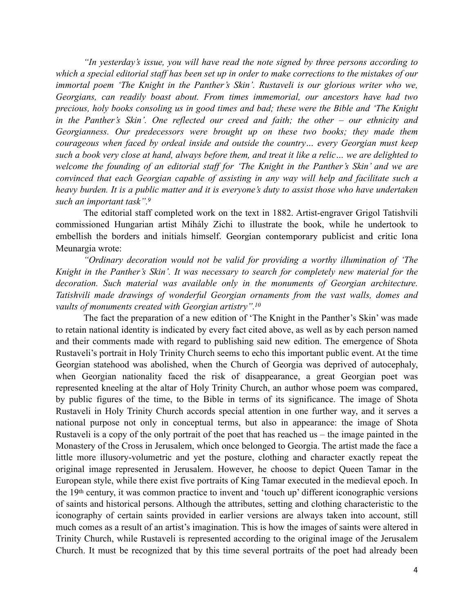*"In yesterday's issue, you will have read the note signed by three persons according to which a special editorial staff has been set up in order to make corrections to the mistakes of our immortal poem 'The Knight in the Panther's Skin'. Rustaveli is our glorious writer who we, Georgians, can readily boast about. From times immemorial, our ancestors have had two precious, holy books consoling us in good times and bad; these were the Bible and 'The Knight in the Panther's Skin'. One reflected our creed and faith; the other – our ethnicity and Georgianness. Our predecessors were brought up on these two books; they made them courageous when faced by ordeal inside and outside the country… every Georgian must keep such a book very close at hand, always before them, and treat it like a relic… we are delighted to welcome the founding of an editorial staff for 'The Knight in the Panther's Skin' and we are convinced that each Georgian capable of assisting in any way will help and facilitate such a heavy burden. It is a public matter and it is everyone's duty to assist those who have undertaken such an important task". [9](#page-7-8)*

<span id="page-3-0"></span>The editorial staff completed work on the text in 1882. Artist-engraver Grigol Tatishvili commissioned Hungarian artist Mihály Zichi to illustrate the book, while he undertook to embellish the borders and initials himself. Georgian contemporary publicist and critic Iona Meunargia wrote:

*"Ordinary decoration would not be valid for providing a worthy illumination of 'The Knight in the Panther's Skin'. It was necessary to search for completely new material for the decoration. Such material was available only in the monuments of Georgian architecture. Tatishvili made drawings of wonderful Georgian ornaments from the vast walls, domes and vaults of monuments created with Georgian artistry"[.](#page-7-9) [10](#page-7-9)*

<span id="page-3-1"></span>The fact the preparation of a new edition of 'The Knight in the Panther's Skin' was made to retain national identity is indicated by every fact cited above, as well as by each person named and their comments made with regard to publishing said new edition. The emergence of Shota Rustaveli's portrait in Holy Trinity Church seems to echo this important public event. At the time Georgian statehood was abolished, when the Church of Georgia was deprived of autocephaly, when Georgian nationality faced the risk of disappearance, a great Georgian poet was represented kneeling at the altar of Holy Trinity Church, an author whose poem was compared, by public figures of the time, to the Bible in terms of its significance. The image of Shota Rustaveli in Holy Trinity Church accords special attention in one further way, and it serves a national purpose not only in conceptual terms, but also in appearance: the image of Shota Rustaveli is a copy of the only portrait of the poet that has reached us – the image painted in the Monastery of the Cross in Jerusalem, which once belonged to Georgia. The artist made the face a little more illusory-volumetric and yet the posture, clothing and character exactly repeat the original image represented in Jerusalem. However, he choose to depict Queen Tamar in the European style, while there exist five portraits of King Tamar executed in the medieval epoch. In the 19th century, it was common practice to invent and 'touch up' different iconographic versions of saints and historical persons. Although the attributes, setting and clothing characteristic to the iconography of certain saints provided in earlier versions are always taken into account, still much comes as a result of an artist's imagination. This is how the images of saints were altered in Trinity Church, while Rustaveli is represented according to the original image of the Jerusalem Church. It must be recognized that by this time several portraits of the poet had already been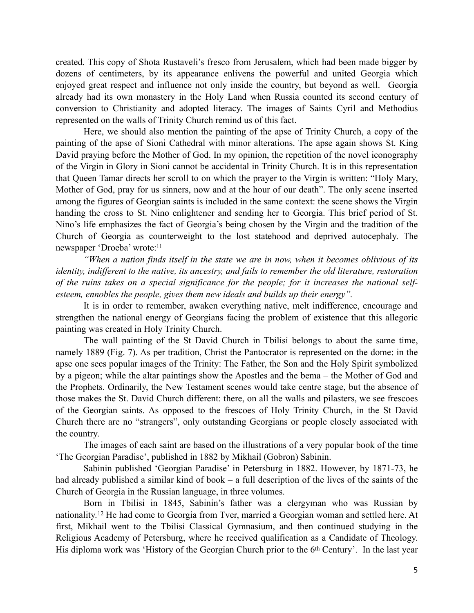created. This copy of Shota Rustaveli's fresco from Jerusalem, which had been made bigger by dozens of centimeters, by its appearance enlivens the powerful and united Georgia which enjoyed great respect and influence not only inside the country, but beyond as well. Georgia already had its own monastery in the Holy Land when Russia counted its second century of conversion to Christianity and adopted literacy. The images of Saints Cyril and Methodius represented on the walls of Trinity Church remind us of this fact.

Here, we should also mention the painting of the apse of Trinity Church, a copy of the painting of the apse of Sioni Cathedral with minor alterations. The apse again shows St. King David praying before the Mother of God. In my opinion, the repetition of the novel iconography of the Virgin in Glory in Sioni cannot be accidental in Trinity Church. It is in this representation that Queen Tamar directs her scroll to on which the prayer to the Virgin is written: "Holy Mary, Mother of God, pray for us sinners, now and at the hour of our death". The only scene inserted among the figures of Georgian saints is included in the same context: the scene shows the Virgin handing the cross to St. Nino enlightener and sending her to Georgia. This brief period of St. Nino's life emphasizes the fact of Georgia's being chosen by the Virgin and the tradition of the Church of Georgia as counterweight to the lost statehood and deprived autocephaly. The newspaper 'Droeba' wrote[:](#page-7-10)<sup>[11](#page-7-10)</sup>

<span id="page-4-0"></span>*"When a nation finds itself in the state we are in now, when it becomes oblivious of its identity, indifferent to the native, its ancestry, and fails to remember the old literature, restoration of the ruins takes on a special significance for the people; for it increases the national selfesteem, ennobles the people, gives them new ideals and builds up their energy".* 

It is in order to remember, awaken everything native, melt indifference, encourage and strengthen the national energy of Georgians facing the problem of existence that this allegoric painting was created in Holy Trinity Church.

The wall painting of the St David Church in Tbilisi belongs to about the same time, namely 1889 (Fig. 7). As per tradition, Christ the Pantocrator is represented on the dome: in the apse one sees popular images of the Trinity: The Father, the Son and the Holy Spirit symbolized by a pigeon; while the altar paintings show the Apostles and the bema – the Mother of God and the Prophets. Ordinarily, the New Testament scenes would take centre stage, but the absence of those makes the St. David Church different: there, on all the walls and pilasters, we see frescoes of the Georgian saints. As opposed to the frescoes of Holy Trinity Church, in the St David Church there are no "strangers", only outstanding Georgians or people closely associated with the country.

The images of each saint are based on the illustrations of a very popular book of the time 'The Georgian Paradise', published in 1882 by Mikhail (Gobron) Sabinin.

Sabinin published 'Georgian Paradise' in Petersburg in 1882. However, by 1871-73, he had already published a similar kind of book – a full description of the lives of the saints of the Church of Georgia in the Russian language, in three volumes.

<span id="page-4-1"></span>Born in Tbilisi in 1845, Sabinin's father was a clergyman who was Russian by nationality.<sup>12</sup>He had come to Georgia from Tver, married a Georgian woman and settled here. At first, Mikhail went to the Tbilisi Classical Gymnasium, and then continued studying in the Religious Academy of Petersburg, where he received qualification as a Candidate of Theology. His diploma work was 'History of the Georgian Church prior to the 6<sup>th</sup> Century'. In the last year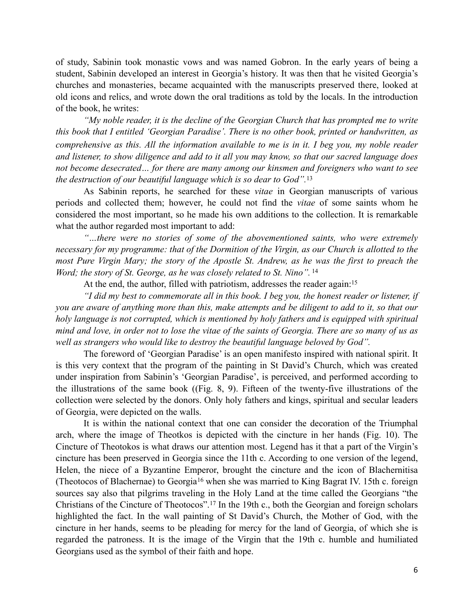of study, Sabinin took monastic vows and was named Gobron. In the early years of being a student, Sabinin developed an interest in Georgia's history. It was then that he visited Georgia's churches and monasteries, became acquainted with the manuscripts preserved there, looked at old icons and relics, and wrote down the oral traditions as told by the locals. In the introduction of the book, he writes:

*"My noble reader, it is the decline of the Georgian Church that has prompted me to write this book that I entitled 'Georgian Paradise'. There is no other book, printed or handwritten, as comprehensive as this. All the information available to me is in it. I beg you, my noble reader and listener, to show diligence and add to it all you may know, so that our sacred language does not become desecrated… for there are many among our kinsmen and foreigners who want to see the destruction of our beautiful language which is so dear to God".* [13](#page-7-12)

As Sabinin reports, he searched for these *vitae* in Georgian manuscripts of various periods and collected them; however, he could not find the *vitae* of some saints whom he considered the most important, so he made his own additions to the collection. It is remarkable what the author regarded most important to add:

*"…there were no stories of some of the abovementioned saints, who were extremely necessary for my programme: that of the Dormition of the Virgin, as our Church is allotted to the most Pure Virgin Mary; the story of the Apostle St. Andrew, as he was the first to preach the Word; the story of St. George, as he was closely related to St. Nino".* [14](#page-7-13)

<span id="page-5-2"></span><span id="page-5-1"></span><span id="page-5-0"></span>At the end, the author, filled with patriotism, addresses the reader again[:15](#page-7-14)

*"I did my best to commemorate all in this book. I beg you, the honest reader or listener, if you are aware of anything more than this, make attempts and be diligent to add to it, so that our holy language is not corrupted, which is mentioned by holy fathers and is equipped with spiritual mind and love, in order not to lose the vitae of the saints of Georgia. There are so many of us as well as strangers who would like to destroy the beautiful language beloved by God".* 

The foreword of 'Georgian Paradise' is an open manifesto inspired with national spirit. It is this very context that the program of the painting in St David's Church, which was created under inspiration from Sabinin's 'Georgian Paradise', is perceived, and performed according to the illustrations of the same book ((Fig. 8, 9). Fifteen of the twenty-five illustrations of the collection were selected by the donors. Only holy fathers and kings, spiritual and secular leaders of Georgia, were depicted on the walls.

<span id="page-5-4"></span><span id="page-5-3"></span>It is within the national context that one can consider the decoration of the Triumphal arch, where the image of Theotkos is depicted with the cincture in her hands (Fig. 10). The Cincture of Theotokos is what draws our attention most. Legend has it that a part of the Virgin's cincture has been preserved in Georgia since the 11th c. According to one version of the legend, Helen, the niece of a Byzantine Emperor, brought the cincture and the icon of Blachernitisa (Theotocosof Blachernae) to Georgia<sup>[16](#page-7-15)</sup> when she was married to King Bagrat IV. 15th c. foreign sources say also that pilgrims traveling in the Holy Land at the time called the Georgians "the Christiansof the Cincture of Theotocos".<sup>[17](#page-7-16)</sup> In the 19th c., both the Georgian and foreign scholars highlighted the fact. In the wall painting of St David's Church, the Mother of God, with the cincture in her hands, seems to be pleading for mercy for the land of Georgia, of which she is regarded the patroness. It is the image of the Virgin that the 19th c. humble and humiliated Georgians used as the symbol of their faith and hope.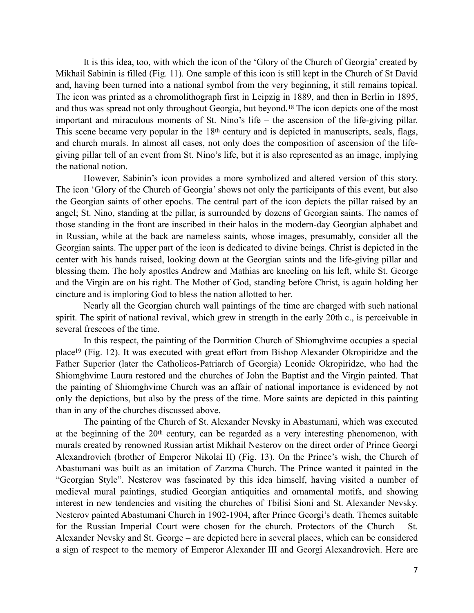<span id="page-6-0"></span>It is this idea, too, with which the icon of the 'Glory of the Church of Georgia' created by Mikhail Sabinin is filled (Fig. 11). One sample of this icon is still kept in the Church of St David and, having been turned into a national symbol from the very beginning, it still remains topical. The icon was printed as a chromolithograph first in Leipzig in 1889, and then in Berlin in 1895, andthus was spread not only throughout Georgia, but beyond.<sup>[18](#page-7-17)</sup> The icon depicts one of the most important and miraculous moments of St. Nino's life – the ascension of the life-giving pillar. This scene became very popular in the 18<sup>th</sup> century and is depicted in manuscripts, seals, flags, and church murals. In almost all cases, not only does the composition of ascension of the lifegiving pillar tell of an event from St. Nino's life, but it is also represented as an image, implying the national notion.

However, Sabinin's icon provides a more symbolized and altered version of this story. The icon 'Glory of the Church of Georgia' shows not only the participants of this event, but also the Georgian saints of other epochs. The central part of the icon depicts the pillar raised by an angel; St. Nino, standing at the pillar, is surrounded by dozens of Georgian saints. The names of those standing in the front are inscribed in their halos in the modern-day Georgian alphabet and in Russian, while at the back are nameless saints, whose images, presumably, consider all the Georgian saints. The upper part of the icon is dedicated to divine beings. Christ is depicted in the center with his hands raised, looking down at the Georgian saints and the life-giving pillar and blessing them. The holy apostles Andrew and Mathias are kneeling on his left, while St. George and the Virgin are on his right. The Mother of God, standing before Christ, is again holding her cincture and is imploring God to bless the nation allotted to her.

Nearly all the Georgian church wall paintings of the time are charged with such national spirit. The spirit of national revival, which grew in strength in the early 20th c., is perceivable in several frescoes of the time.

<span id="page-6-1"></span>In this respect, the painting of the Dormition Church of Shiomghvime occupies a special plac[e](#page-8-0)<sup>[19](#page-8-0)</sup> (Fig. 12). It was executed with great effort from Bishop Alexander Okropiridze and the Father Superior (later the Catholicos-Patriarch of Georgia) Leonide Okropiridze, who had the Shiomghvime Laura restored and the churches of John the Baptist and the Virgin painted. That the painting of Shiomghvime Church was an affair of national importance is evidenced by not only the depictions, but also by the press of the time. More saints are depicted in this painting than in any of the churches discussed above.

The painting of the Church of St. Alexander Nevsky in Abastumani, which was executed at the beginning of the 20<sup>th</sup> century, can be regarded as a very interesting phenomenon, with murals created by renowned Russian artist Mikhail Nesterov on the direct order of Prince Georgi Alexandrovich (brother of Emperor Nikolai II) (Fig. 13). On the Prince's wish, the Church of Abastumani was built as an imitation of Zarzma Church. The Prince wanted it painted in the "Georgian Style". Nesterov was fascinated by this idea himself, having visited a number of medieval mural paintings, studied Georgian antiquities and ornamental motifs, and showing interest in new tendencies and visiting the churches of Tbilisi Sioni and St. Alexander Nevsky. Nesterov painted Abastumani Church in 1902-1904, after Prince Georgi's death. Themes suitable for the Russian Imperial Court were chosen for the church. Protectors of the Church – St. Alexander Nevsky and St. George – are depicted here in several places, which can be considered a sign of respect to the memory of Emperor Alexander III and Georgi Alexandrovich. Here are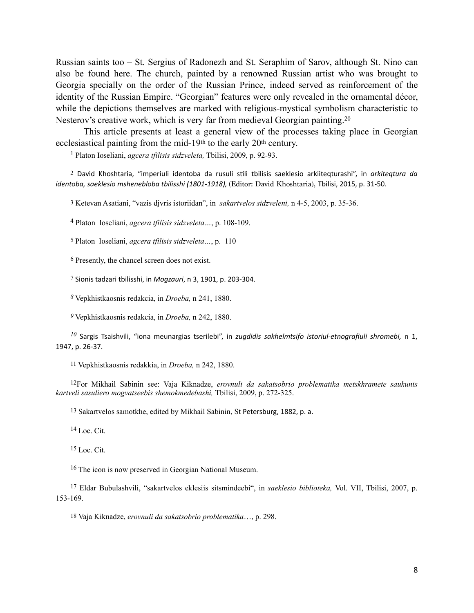Russian saints too – St. Sergius of Radonezh and St. Seraphim of Sarov, although St. Nino can also be found here. The church, painted by a renowned Russian artist who was brought to Georgia specially on the order of the Russian Prince, indeed served as reinforcement of the identity of the Russian Empire. "Georgian" features were only revealed in the ornamental décor, while the depictions themselves are marked with religious-mystical symbolism characteristic to Nesterov's creative work, which is very far from medieval Georgian painting.<sup>20</sup>

This article presents at least a general view of the processes taking place in Georgian ecclesiastical painting from the mid-19th to the early 20th century.

<span id="page-7-18"></span><span id="page-7-0"></span>Platon Ioseliani, *agcera tfilisis sidzveleta,* Tbilisi, 2009, p. 92-93. [1](#page-0-0)

<span id="page-7-1"></span><sup>[2](#page-0-1)</sup> David Khoshtaria, "imperiuli identoba da rusuli stili tbilisis saeklesio arkiiteqturashi", in *arkiteqtura da identoba, saeklesio mshenebloba tbilisshi (1801-1918),* (Editor: David Khoshtaria), Tbilisi, 2015, p. 31-50.

<span id="page-7-2"></span>[3](#page-0-2) Ketevan Asatiani, "vazis djvris istoriidan", in *sakartvelos sidzveleni,* n 4-5, 2003, p. 35-36.

<span id="page-7-3"></span>Platon Ioseliani, *agcera tfilisis sidzveleta…*, p. 108-109. [4](#page-1-0)

<span id="page-7-4"></span>[5](#page-1-1) Platon Ioseliani, *agcera tfilisis sidzveleta…*, p. 110

<span id="page-7-5"></span> $6$  Presently, the chancel screen does not exist.

<span id="page-7-6"></span>[7](#page-1-3) Sionis tadzari tbilisshi, in *Mogzauri*, n 3, 1901, p. 203-304.

<span id="page-7-7"></span>Vepkhistkaosnis redakcia, in *Droeba,* n 241, 1880. *[8](#page-2-0)*

<span id="page-7-8"></span>*[9](#page-3-0)* Vepkhistkaosnis redakcia, in *Droeba,* n 242, 1880.

<span id="page-7-9"></span> $^{10}$  $^{10}$  $^{10}$  Sargis Tsaishvili, "iona meunargias tserilebi", in *zugdidis sakhelmtsifo istoriul-etnografiuli shromebi*, n 1, 1947, p. 26-37.

<span id="page-7-10"></span>[11](#page-4-0) Vepkhistkaosnis redakkia, in *Droeba,* n 242, 1880.

<span id="page-7-11"></span>For Mikhail Sabinin see: Vaja Kiknadze, *erovnuli da sakatsobrio problematika metskhramete saukunis* [12](#page-4-1) *kartveli sasuliero mogvatseebis shemokmedebashi,* Tbilisi, 2009, p. 272-325.

<span id="page-7-12"></span>[13](#page-5-0) Sakartvelos samotkhe, edited by Mikhail Sabinin, St Petersburg, 1882, p. a.

<span id="page-7-13"></span> $14$  Loc. Cit.

<span id="page-7-14"></span> $15$  Loc. Cit.

<span id="page-7-15"></span><sup>[16](#page-5-3)</sup> The icon is now preserved in Georgian National Museum.

<span id="page-7-16"></span>Eldar Bubulashvili, "sakartvelos eklesiis sitsmindeebi", in *saeklesio biblioteka,* Vol. VII, Tbilisi, 2007, p. [17](#page-5-4) 153-169.

<span id="page-7-17"></span>[18](#page-6-0) Vaja Kiknadze, *erovnuli da sakatsobrio problematika*…, p. 298.